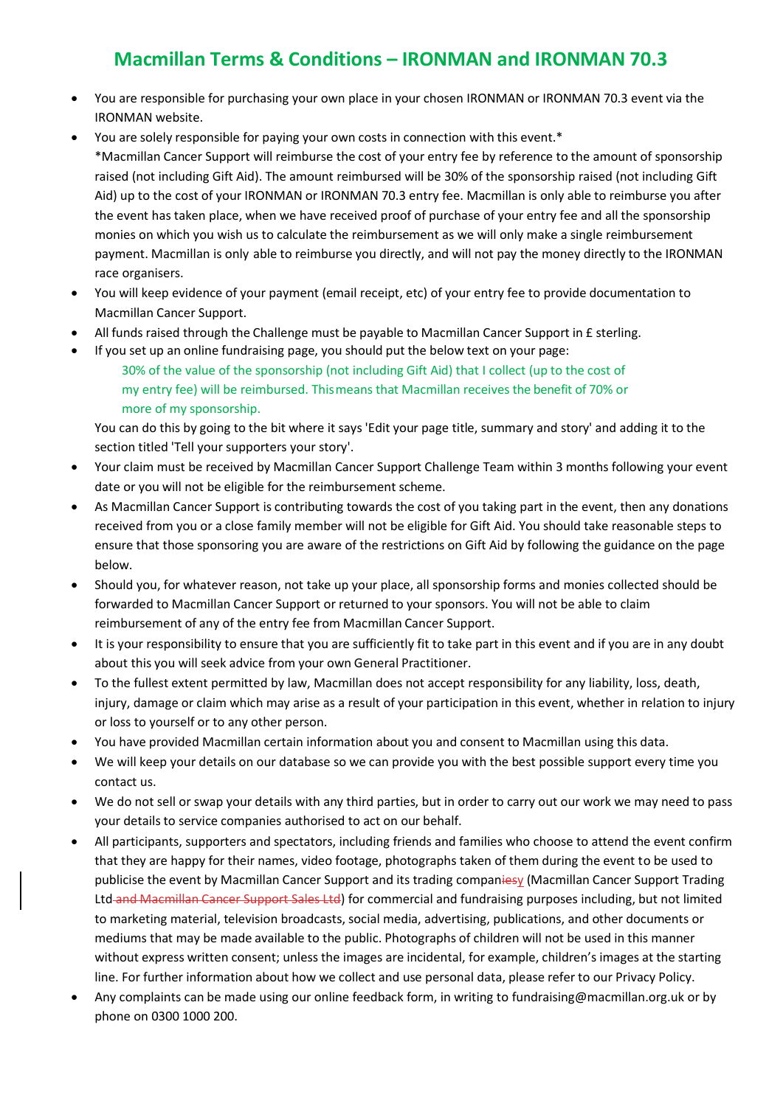## **Macmillan Terms & Conditions – IRONMAN and IRONMAN 70.3**

- You are responsible for purchasing your own place in your chosen IRONMAN or IRONMAN 70.3 event via the IRONMAN website.
- You are solely responsible for paying your own costs in connection with this event.\* \*Macmillan Cancer Support will reimburse the cost of your entry fee by reference to the amount of sponsorship raised (not including Gift Aid). The amount reimbursed will be 30% of the sponsorship raised (not including Gift Aid) up to the cost of your IRONMAN or IRONMAN 70.3 entry fee. Macmillan is only able to reimburse you after the event has taken place, when we have received proof of purchase of your entry fee and all the sponsorship monies on which you wish us to calculate the reimbursement as we will only make a single reimbursement payment. Macmillan is only able to reimburse you directly, and will not pay the money directly to the IRONMAN race organisers.
- You will keep evidence of your payment (email receipt, etc) of your entry fee to provide documentation to Macmillan Cancer Support.
- All funds raised through the Challenge must be payable to Macmillan Cancer Support in £ sterling.
	- If you set up an online fundraising page, you should put the below text on your page: 30% of the value of the sponsorship (not including Gift Aid) that I collect (up to the cost of my entry fee) will be reimbursed. This means that Macmillan receives the benefit of 70% or more of my sponsorship.

You can do this by going to the bit where it says 'Edit your page title, summary and story' and adding it to the section titled 'Tell your supporters your story'.

- Your claim must be received by Macmillan Cancer Support Challenge Team within 3 months following your event date or you will not be eligible for the reimbursement scheme.
- As Macmillan Cancer Support is contributing towards the cost of you taking part in the event, then any donations received from you or a close family member will not be eligible for Gift Aid. You should take reasonable steps to ensure that those sponsoring you are aware of the restrictions on Gift Aid by following the guidance on the page below.
- Should you, for whatever reason, not take up your place, all sponsorship forms and monies collected should be forwarded to Macmillan Cancer Support or returned to your sponsors. You will not be able to claim reimbursement of any of the entry fee from Macmillan Cancer Support.
- It is your responsibility to ensure that you are sufficiently fit to take part in this event and if you are in any doubt about this you will seek advice from your own General Practitioner.
- To the fullest extent permitted by law, Macmillan does not accept responsibility for any liability, loss, death, injury, damage or claim which may arise as a result of your participation in this event, whether in relation to injury or loss to yourself or to any other person.
- You have provided Macmillan certain information about you and consent to Macmillan using this data.
- We will keep your details on our database so we can provide you with the best possible support every time you contact us.
- We do not sell or swap your details with any third parties, but in order to carry out our work we may need to pass your details to service companies authorised to act on our behalf.
- All participants, supporters and spectators, including friends and families who choose to attend the event confirm that they are happy for their names, video footage, photographs taken of them during the event to be used to publicise the event by Macmillan Cancer Support and its trading companiesy (Macmillan Cancer Support Trading Ltd and Macmillan Cancer Support Sales Ltd) for commercial and fundraising purposes including, but not limited to marketing material, television broadcasts, social media, advertising, publications, and other documents or mediums that may be made available to the public. Photographs of children will not be used in this manner without express written consent; unless the images are incidental, for example, children's images at the starting line. For further information about how we collect and use personal data, please refer to our Privacy Policy.
- Any complaints can be made using our online feedback form, in writing to [fundraising@macmillan.org.uk o](mailto:fundraising@macmillan.org.uk)r by phone on 0300 1000 200.